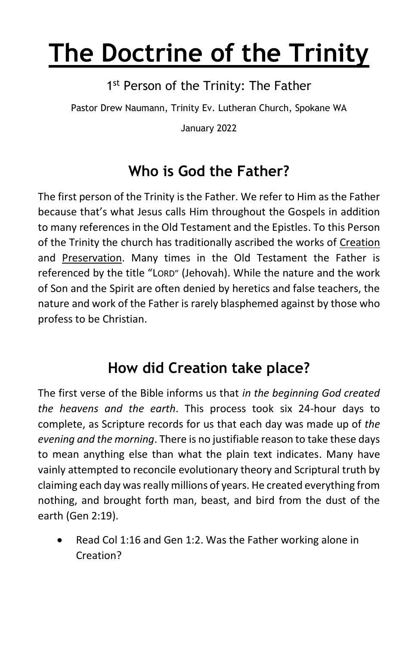# **The Doctrine of the Trinity**

1<sup>st</sup> Person of the Trinity: The Father

Pastor Drew Naumann, Trinity Ev. Lutheran Church, Spokane WA

January 2022

## **Who is God the Father?**

The first person of the Trinity is the Father. We refer to Him as the Father because that's what Jesus calls Him throughout the Gospels in addition to many references in the Old Testament and the Epistles. To this Person of the Trinity the church has traditionally ascribed the works of Creation and Preservation. Many times in the Old Testament the Father is referenced by the title "LORD" (Jehovah). While the nature and the work of Son and the Spirit are often denied by heretics and false teachers, the nature and work of the Father is rarely blasphemed against by those who profess to be Christian.

### **How did Creation take place?**

The first verse of the Bible informs us that *in the beginning God created the heavens and the earth*. This process took six 24-hour days to complete, as Scripture records for us that each day was made up of *the evening and the morning*. There is no justifiable reason to take these days to mean anything else than what the plain text indicates. Many have vainly attempted to reconcile evolutionary theory and Scriptural truth by claiming each day was really millions of years. He created everything from nothing, and brought forth man, beast, and bird from the dust of the earth (Gen 2:19).

Read Col 1:16 and Gen 1:2. Was the Father working alone in Creation?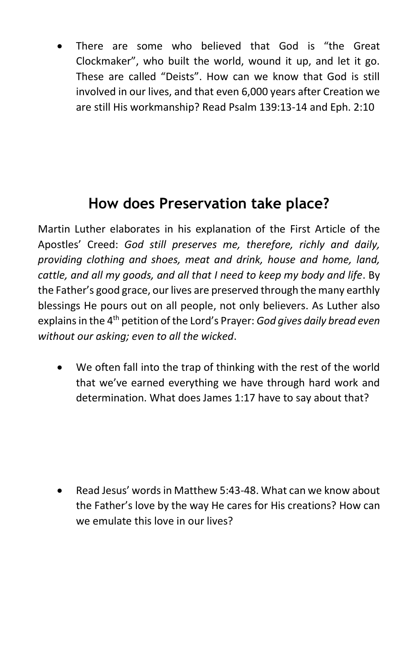There are some who believed that God is "the Great Clockmaker", who built the world, wound it up, and let it go. These are called "Deists". How can we know that God is still involved in our lives, and that even 6,000 years after Creation we are still His workmanship? Read Psalm 139:13-14 and Eph. 2:10

### **How does Preservation take place?**

Martin Luther elaborates in his explanation of the First Article of the Apostles' Creed: *God still preserves me, therefore, richly and daily, providing clothing and shoes, meat and drink, house and home, land, cattle, and all my goods, and all that I need to keep my body and life*. By the Father's good grace, our lives are preserved through the many earthly blessings He pours out on all people, not only believers. As Luther also explains in the 4th petition of the Lord's Prayer: *God gives daily bread even without our asking; even to all the wicked*.

• We often fall into the trap of thinking with the rest of the world that we've earned everything we have through hard work and determination. What does James 1:17 have to say about that?

• Read Jesus' words in Matthew 5:43-48. What can we know about the Father's love by the way He cares for His creations? How can we emulate this love in our lives?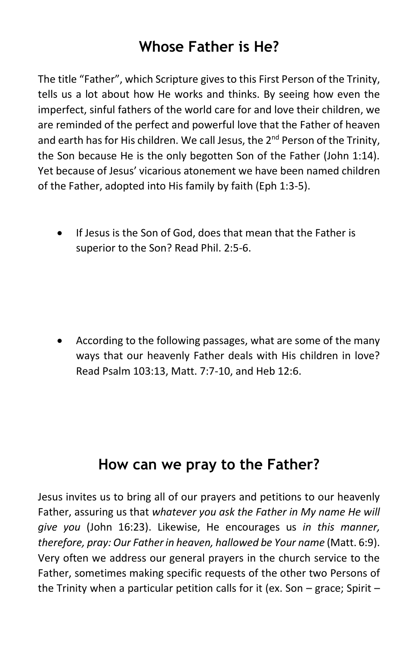#### **Whose Father is He?**

The title "Father", which Scripture gives to this First Person of the Trinity, tells us a lot about how He works and thinks. By seeing how even the imperfect, sinful fathers of the world care for and love their children, we are reminded of the perfect and powerful love that the Father of heaven and earth has for His children. We call Jesus, the 2<sup>nd</sup> Person of the Trinity, the Son because He is the only begotten Son of the Father (John 1:14). Yet because of Jesus' vicarious atonement we have been named children of the Father, adopted into His family by faith (Eph 1:3-5).

• If Jesus is the Son of God, does that mean that the Father is superior to the Son? Read Phil. 2:5-6.

• According to the following passages, what are some of the many ways that our heavenly Father deals with His children in love? Read Psalm 103:13, Matt. 7:7-10, and Heb 12:6.

#### **How can we pray to the Father?**

Jesus invites us to bring all of our prayers and petitions to our heavenly Father, assuring us that *whatever you ask the Father in My name He will give you* (John 16:23). Likewise, He encourages us *in this manner, therefore, pray: Our Father in heaven, hallowed be Your name* (Matt. 6:9). Very often we address our general prayers in the church service to the Father, sometimes making specific requests of the other two Persons of the Trinity when a particular petition calls for it (ex. Son – grace; Spirit –